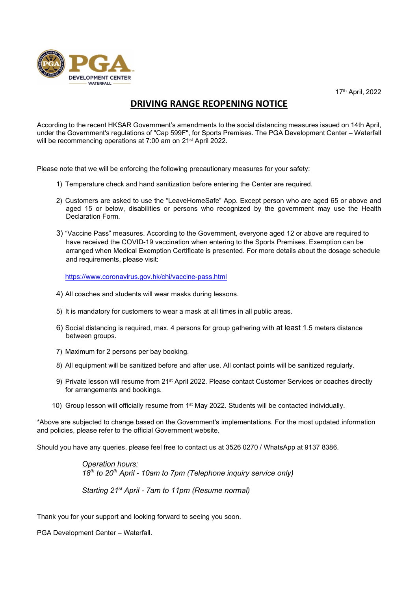



## DRIVING RANGE REOPENING NOTICE

According to the recent HKSAR Government's amendments to the social distancing measures issued on 14th April, under the Government's regulations of "Cap 599F", for Sports Premises. The PGA Development Center – Waterfall will be recommencing operations at 7:00 am on 21<sup>st</sup> April 2022.

Please note that we will be enforcing the following precautionary measures for your safety:

- 1) Temperature check and hand sanitization before entering the Center are required.
- 2) Customers are asked to use the "LeaveHomeSafe" App. Except person who are aged 65 or above and aged 15 or below, disabilities or persons who recognized by the government may use the Health Declaration Form.
- 3) "Vaccine Pass" measures. According to the Government, everyone aged 12 or above are required to have received the COVID-19 vaccination when entering to the Sports Premises. Exemption can be arranged when Medical Exemption Certificate is presented. For more details about the dosage schedule and requirements, please visit:

https://www.coronavirus.gov.hk/chi/vaccine-pass.html

- 4) All coaches and students will wear masks during lessons.
- 5) It is mandatory for customers to wear a mask at all times in all public areas.
- 6) Social distancing is required, max. 4 persons for group gathering with at least 1.5 meters distance between groups.
- 7) Maximum for 2 persons per bay booking.
- 8) All equipment will be sanitized before and after use. All contact points will be sanitized regularly.
- 9) Private lesson will resume from 21<sup>st</sup> April 2022. Please contact Customer Services or coaches directly for arrangements and bookings.
- 10) Group lesson will officially resume from 1st May 2022. Students will be contacted individually.

\*Above are subjected to change based on the Government's implementations. For the most updated information and policies, please refer to the official Government website.

Should you have any queries, please feel free to contact us at 3526 0270 / WhatsApp at 9137 8386.

Operation hours:  $18<sup>th</sup>$  to  $20<sup>th</sup>$  April - 10am to 7pm (Telephone inquiry service only)

Starting 21<sup>st</sup> April - 7am to 11pm (Resume normal)

Thank you for your support and looking forward to seeing you soon.

PGA Development Center – Waterfall.